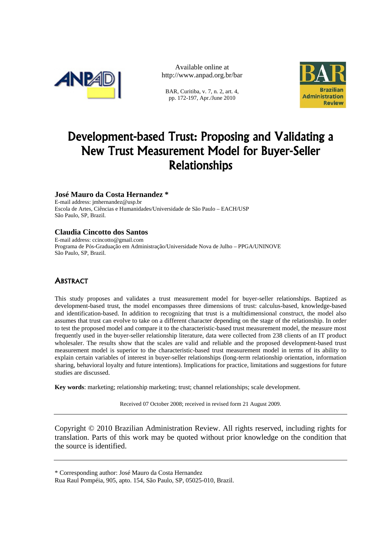

Available online at http://www.anpad.org.br/bar

BAR, Curitiba, v. 7, n. 2, art. 4, pp. 172-197, Apr./June 2010



# Development-based Trust: Proposing and Validating a New Trust Measurement Model for Buyer-Seller Relationships

#### **José Mauro da Costa Hernandez \***

E-mail address: jmhernandez@usp.br Escola de Artes, Ciências e Humanidades/Universidade de São Paulo – EACH/USP São Paulo, SP, Brazil.

#### **Claudia Cincotto dos Santos**

E-mail address: ccincotto@gmail.com Programa de Pós-Graduação em Administração/Universidade Nova de Julho – PPGA/UNINOVE São Paulo, SP, Brazil.

## **ABSTRACT**

This study proposes and validates a trust measurement model for buyer-seller relationships. Baptized as development-based trust, the model encompasses three dimensions of trust: calculus-based, knowledge-based and identification-based. In addition to recognizing that trust is a multidimensional construct, the model also assumes that trust can evolve to take on a different character depending on the stage of the relationship. In order to test the proposed model and compare it to the characteristic-based trust measurement model, the measure most frequently used in the buyer-seller relationship literature, data were collected from 238 clients of an IT product wholesaler. The results show that the scales are valid and reliable and the proposed development-based trust measurement model is superior to the characteristic-based trust measurement model in terms of its ability to explain certain variables of interest in buyer-seller relationships (long-term relationship orientation, information sharing, behavioral loyalty and future intentions). Implications for practice, limitations and suggestions for future studies are discussed.

**Key words**: marketing; relationship marketing; trust; channel relationships; scale development.

Received 07 October 2008; received in revised form 21 August 2009.

Copyright © 2010 Brazilian Administration Review. All rights reserved, including rights for translation. Parts of this work may be quoted without prior knowledge on the condition that the source is identified.

<sup>\*</sup> Corresponding author: José Mauro da Costa Hernandez

Rua Raul Pompéia, 905, apto. 154, São Paulo, SP, 05025-010, Brazil.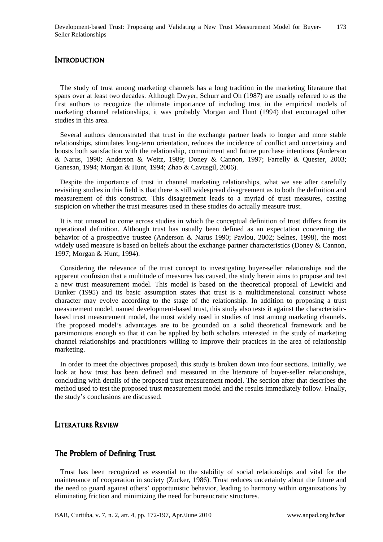## **INTRODUCTION**

The study of trust among marketing channels has a long tradition in the marketing literature that spans over at least two decades. Although Dwyer, Schurr and Oh (1987) are usually referred to as the first authors to recognize the ultimate importance of including trust in the empirical models of marketing channel relationships, it was probably Morgan and Hunt (1994) that encouraged other studies in this area.

Several authors demonstrated that trust in the exchange partner leads to longer and more stable relationships, stimulates long-term orientation, reduces the incidence of conflict and uncertainty and boosts both satisfaction with the relationship, commitment and future purchase intentions (Anderson & Narus, 1990; Anderson & Weitz, 1989; Doney & Cannon, 1997; Farrelly & Quester, 2003; Ganesan, 1994; Morgan & Hunt, 1994; Zhao & Cavusgil, 2006).

Despite the importance of trust in channel marketing relationships, what we see after carefully revisiting studies in this field is that there is still widespread disagreement as to both the definition and measurement of this construct. This disagreement leads to a myriad of trust measures, casting suspicion on whether the trust measures used in these studies do actually measure trust.

It is not unusual to come across studies in which the conceptual definition of trust differs from its operational definition. Although trust has usually been defined as an expectation concerning the behavior of a prospective trustee (Anderson & Narus 1990; Pavlou, 2002; Selnes, 1998), the most widely used measure is based on beliefs about the exchange partner characteristics (Doney & Cannon, 1997; Morgan & Hunt, 1994).

Considering the relevance of the trust concept to investigating buyer-seller relationships and the apparent confusion that a multitude of measures has caused, the study herein aims to propose and test a new trust measurement model. This model is based on the theoretical proposal of Lewicki and Bunker (1995) and its basic assumption states that trust is a multidimensional construct whose character may evolve according to the stage of the relationship. In addition to proposing a trust measurement model, named development-based trust, this study also tests it against the characteristicbased trust measurement model, the most widely used in studies of trust among marketing channels. The proposed model's advantages are to be grounded on a solid theoretical framework and be parsimonious enough so that it can be applied by both scholars interested in the study of marketing channel relationships and practitioners willing to improve their practices in the area of relationship marketing.

In order to meet the objectives proposed, this study is broken down into four sections. Initially, we look at how trust has been defined and measured in the literature of buyer-seller relationships, concluding with details of the proposed trust measurement model. The section after that describes the method used to test the proposed trust measurement model and the results immediately follow. Finally, the study's conclusions are discussed.

### LITERATURE REVIEW

## The Problem of Defining Trust

Trust has been recognized as essential to the stability of social relationships and vital for the maintenance of cooperation in society (Zucker, 1986). Trust reduces uncertainty about the future and the need to guard against others' opportunistic behavior, leading to harmony within organizations by eliminating friction and minimizing the need for bureaucratic structures.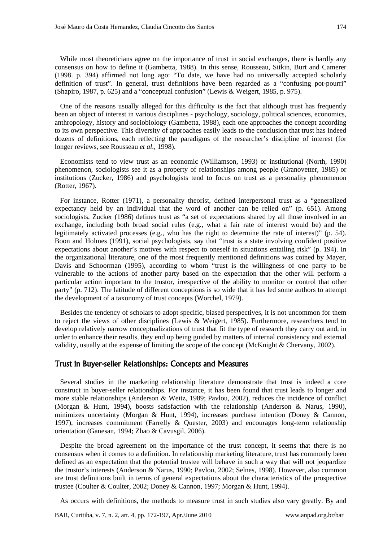While most theoreticians agree on the importance of trust in social exchanges, there is hardly any consensus on how to define it (Gambetta, 1988). In this sense, Rousseau, Sitkin, Burt and Camerer (1998. p. 394) affirmed not long ago: "To date, we have had no universally accepted scholarly definition of trust". In general, trust definitions have been regarded as a "confusing pot-pourri" (Shapiro, 1987, p. 625) and a "conceptual confusion" (Lewis & Weigert, 1985, p. 975).

One of the reasons usually alleged for this difficulty is the fact that although trust has frequently been an object of interest in various disciplines - psychology, sociology, political sciences, economics, anthropology, history and sociobiology (Gambetta, 1988), each one approaches the concept according to its own perspective. This diversity of approaches easily leads to the conclusion that trust has indeed dozens of definitions, each reflecting the paradigms of the researcher's discipline of interest (for longer reviews, see Rousseau *et al.*, 1998).

Economists tend to view trust as an economic (Williamson, 1993) or institutional (North, 1990) phenomenon, sociologists see it as a property of relationships among people (Granovetter, 1985) or institutions (Zucker, 1986) and psychologists tend to focus on trust as a personality phenomenon (Rotter, 1967).

For instance, Rotter (1971), a personality theorist, defined interpersonal trust as a "generalized expectancy held by an individual that the word of another can be relied on" (p. 651). Among sociologists, Zucker (1986) defines trust as "a set of expectations shared by all those involved in an exchange, including both broad social rules (e.g., what a fair rate of interest would be) and the legitimately activated processes (e.g., who has the right to determine the rate of interest)" (p. 54). Boon and Holmes (1991), social psychologists, say that "trust is a state involving confident positive expectations about another's motives with respect to oneself in situations entailing risk" (p. 194). In the organizational literature, one of the most frequently mentioned definitions was coined by Mayer, Davis and Schoorman (1995), according to whom "trust is the willingness of one party to be vulnerable to the actions of another party based on the expectation that the other will perform a particular action important to the trustor, irrespective of the ability to monitor or control that other party" (p. 712). The latitude of different conceptions is so wide that it has led some authors to attempt the development of a taxonomy of trust concepts (Worchel, 1979).

Besides the tendency of scholars to adopt specific, biased perspectives, it is not uncommon for them to reject the views of other disciplines (Lewis & Weigert, 1985). Furthermore, researchers tend to develop relatively narrow conceptualizations of trust that fit the type of research they carry out and, in order to enhance their results, they end up being guided by matters of internal consistency and external validity, usually at the expense of limiting the scope of the concept (McKnight & Chervany, 2002).

#### Trust in Buyer-seller Relationships: Concepts and Measures

Several studies in the marketing relationship literature demonstrate that trust is indeed a core construct in buyer-seller relationships. For instance, it has been found that trust leads to longer and more stable relationships (Anderson & Weitz, 1989; Pavlou, 2002), reduces the incidence of conflict (Morgan & Hunt, 1994), boosts satisfaction with the relationship (Anderson & Narus, 1990), minimizes uncertainty (Morgan & Hunt, 1994), increases purchase intention (Doney & Cannon, 1997), increases commitment (Farrelly & Quester, 2003) and encourages long-term relationship orientation (Ganesan, 1994; Zhao & Cavusgil, 2006).

Despite the broad agreement on the importance of the trust concept, it seems that there is no consensus when it comes to a definition. In relationship marketing literature, trust has commonly been defined as an expectation that the potential trustee will behave in such a way that will not jeopardize the trustor's interests (Anderson & Narus, 1990; Pavlou, 2002; Selnes, 1998). However, also common are trust definitions built in terms of general expectations about the characteristics of the prospective trustee (Coulter & Coulter, 2002; Doney & Cannon, 1997; Morgan & Hunt, 1994).

As occurs with definitions, the methods to measure trust in such studies also vary greatly. By and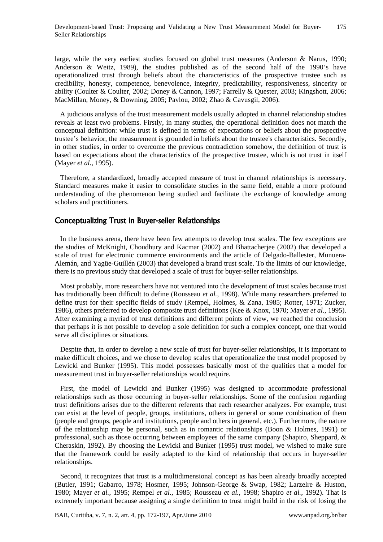large, while the very earliest studies focused on global trust measures (Anderson & Narus, 1990; Anderson & Weitz, 1989), the studies published as of the second half of the 1990's have operationalized trust through beliefs about the characteristics of the prospective trustee such as credibility, honesty, competence, benevolence, integrity, predictability, responsiveness, sincerity or ability (Coulter & Coulter, 2002; Doney & Cannon, 1997; Farrelly & Quester, 2003; Kingshott, 2006; MacMillan, Money, & Downing, 2005; Pavlou, 2002; Zhao & Cavusgil, 2006).

A judicious analysis of the trust measurement models usually adopted in channel relationship studies reveals at least two problems. Firstly, in many studies, the operational definition does not match the conceptual definition: while trust is defined in terms of expectations or beliefs about the prospective trustee's behavior, the measurement is grounded in beliefs about the trustee's characteristics. Secondly, in other studies, in order to overcome the previous contradiction somehow, the definition of trust is based on expectations about the characteristics of the prospective trustee, which is not trust in itself (Mayer *et al.*, 1995).

Therefore, a standardized, broadly accepted measure of trust in channel relationships is necessary. Standard measures make it easier to consolidate studies in the same field, enable a more profound understanding of the phenomenon being studied and facilitate the exchange of knowledge among scholars and practitioners.

## Conceptualizing Trust in Buyer-seller Relationships

In the business arena, there have been few attempts to develop trust scales. The few exceptions are the studies of McKnight, Choudhury and Kacmar (2002) and Bhattacherjee (2002) that developed a scale of trust for electronic commerce environments and the article of Delgado-Ballester, Munuera-Alemán, and Yagüe-Guillén (2003) that developed a brand trust scale. To the limits of our knowledge, there is no previous study that developed a scale of trust for buyer-seller relationships.

Most probably, more researchers have not ventured into the development of trust scales because trust has traditionally been difficult to define (Rousseau *et al.*, 1998). While many researchers preferred to define trust for their specific fields of study (Rempel, Holmes, & Zana, 1985; Rotter, 1971; Zucker, 1986), others preferred to develop composite trust definitions (Kee & Knox, 1970; Mayer *et al.*, 1995). After examining a myriad of trust definitions and different points of view, we reached the conclusion that perhaps it is not possible to develop a sole definition for such a complex concept, one that would serve all disciplines or situations.

Despite that, in order to develop a new scale of trust for buyer-seller relationships, it is important to make difficult choices, and we chose to develop scales that operationalize the trust model proposed by Lewicki and Bunker (1995). This model possesses basically most of the qualities that a model for measurement trust in buyer-seller relationships would require.

First, the model of Lewicki and Bunker (1995) was designed to accommodate professional relationships such as those occurring in buyer-seller relationships. Some of the confusion regarding trust definitions arises due to the different referents that each researcher analyzes. For example, trust can exist at the level of people, groups, institutions, others in general or some combination of them (people and groups, people and institutions, people and others in general, etc.). Furthermore, the nature of the relationship may be personal, such as in romantic relationships (Boon & Holmes, 1991) or professional, such as those occurring between employees of the same company (Shapiro, Sheppard, & Cheraskin, 1992). By choosing the Lewicki and Bunker (1995) trust model, we wished to make sure that the framework could be easily adapted to the kind of relationship that occurs in buyer-seller relationships.

Second, it recognizes that trust is a multidimensional concept as has been already broadly accepted (Butler, 1991; Gabarro, 1978; Hosmer, 1995; Johnson-George & Swap, 1982; Larzelre & Huston, 1980; Mayer *et al.*, 1995; Rempel *et al.*, 1985; Rousseau *et al.*, 1998; Shapiro *et al.*, 1992). That is extremely important because assigning a single definition to trust might build in the risk of losing the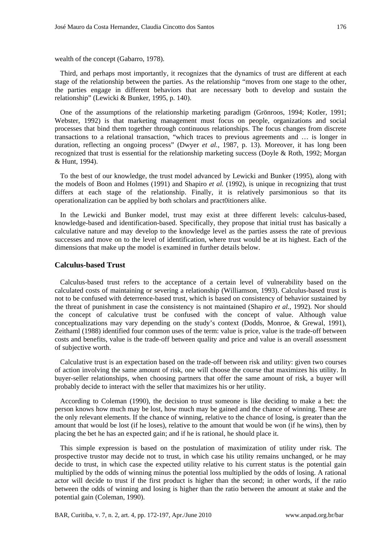wealth of the concept (Gabarro, 1978).

Third, and perhaps most importantly, it recognizes that the dynamics of trust are different at each stage of the relationship between the parties. As the relationship "moves from one stage to the other, the parties engage in different behaviors that are necessary both to develop and sustain the relationship" (Lewicki & Bunker, 1995, p. 140).

One of the assumptions of the relationship marketing paradigm (Grönroos, 1994; Kotler, 1991; Webster, 1992) is that marketing management must focus on people, organizations and social processes that bind them together through continuous relationships. The focus changes from discrete transactions to a relational transaction, "which traces to previous agreements and … is longer in duration, reflecting an ongoing process" (Dwyer *et al.*, 1987, p. 13). Moreover, it has long been recognized that trust is essential for the relationship marketing success (Doyle & Roth, 1992; Morgan & Hunt, 1994).

To the best of our knowledge, the trust model advanced by Lewicki and Bunker (1995), along with the models of Boon and Holmes (1991) and Shapiro *et al.* (1992), is unique in recognizing that trust differs at each stage of the relationship. Finally, it is relatively parsimonious so that its operationalization can be applied by both scholars and pract0itioners alike.

In the Lewicki and Bunker model, trust may exist at three different levels: calculus-based, knowledge-based and identification-based. Specifically, they propose that initial trust has basically a calculative nature and may develop to the knowledge level as the parties assess the rate of previous successes and move on to the level of identification, where trust would be at its highest. Each of the dimensions that make up the model is examined in further details below.

#### **Calculus-based Trust**

Calculus-based trust refers to the acceptance of a certain level of vulnerability based on the calculated costs of maintaining or severing a relationship (Williamson, 1993). Calculus-based trust is not to be confused with deterrence-based trust, which is based on consistency of behavior sustained by the threat of punishment in case the consistency is not maintained (Shapiro *et al.*, 1992). Nor should the concept of calculative trust be confused with the concept of value. Although value conceptualizations may vary depending on the study's context (Dodds, Monroe, & Grewal, 1991), Zeithaml (1988) identified four common uses of the term: value is price, value is the trade-off between costs and benefits, value is the trade-off between quality and price and value is an overall assessment of subjective worth.

Calculative trust is an expectation based on the trade-off between risk and utility: given two courses of action involving the same amount of risk, one will choose the course that maximizes his utility. In buyer-seller relationships, when choosing partners that offer the same amount of risk, a buyer will probably decide to interact with the seller that maximizes his or her utility.

According to Coleman (1990), the decision to trust someone is like deciding to make a bet: the person knows how much may be lost, how much may be gained and the chance of winning. These are the only relevant elements. If the chance of winning, relative to the chance of losing, is greater than the amount that would be lost (if he loses), relative to the amount that would be won (if he wins), then by placing the bet he has an expected gain; and if he is rational, he should place it.

This simple expression is based on the postulation of maximization of utility under risk. The prospective trustor may decide not to trust, in which case his utility remains unchanged, or he may decide to trust, in which case the expected utility relative to his current status is the potential gain multiplied by the odds of winning minus the potential loss multiplied by the odds of losing. A rational actor will decide to trust if the first product is higher than the second; in other words, if the ratio between the odds of winning and losing is higher than the ratio between the amount at stake and the potential gain (Coleman, 1990).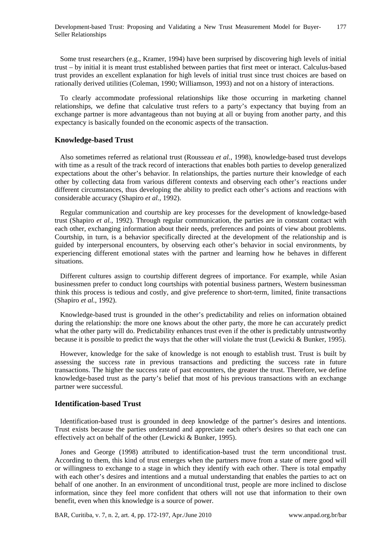Some trust researchers (e.g., Kramer, 1994) have been surprised by discovering high levels of initial trust – by initial it is meant trust established between parties that first meet or interact. Calculus-based trust provides an excellent explanation for high levels of initial trust since trust choices are based on rationally derived utilities (Coleman, 1990; Williamson, 1993) and not on a history of interactions.

To clearly accommodate professional relationships like those occurring in marketing channel relationships, we define that calculative trust refers to a party's expectancy that buying from an exchange partner is more advantageous than not buying at all or buying from another party, and this expectancy is basically founded on the economic aspects of the transaction.

#### **Knowledge-based Trust**

Also sometimes referred as relational trust (Rousseau *et al.*, 1998), knowledge-based trust develops with time as a result of the track record of interactions that enables both parties to develop generalized expectations about the other's behavior. In relationships, the parties nurture their knowledge of each other by collecting data from various different contexts and observing each other's reactions under different circumstances, thus developing the ability to predict each other's actions and reactions with considerable accuracy (Shapiro *et al.*, 1992).

Regular communication and courtship are key processes for the development of knowledge-based trust (Shapiro *et al.*, 1992). Through regular communication, the parties are in constant contact with each other, exchanging information about their needs, preferences and points of view about problems. Courtship, in turn, is a behavior specifically directed at the development of the relationship and is guided by interpersonal encounters, by observing each other's behavior in social environments, by experiencing different emotional states with the partner and learning how he behaves in different situations.

Different cultures assign to courtship different degrees of importance. For example, while Asian businessmen prefer to conduct long courtships with potential business partners, Western businessman think this process is tedious and costly, and give preference to short-term, limited, finite transactions (Shapiro *et al.*, 1992).

Knowledge-based trust is grounded in the other's predictability and relies on information obtained during the relationship: the more one knows about the other party, the more he can accurately predict what the other party will do. Predictability enhances trust even if the other is predictably untrustworthy because it is possible to predict the ways that the other will violate the trust (Lewicki & Bunker, 1995).

However, knowledge for the sake of knowledge is not enough to establish trust. Trust is built by assessing the success rate in previous transactions and predicting the success rate in future transactions. The higher the success rate of past encounters, the greater the trust. Therefore, we define knowledge-based trust as the party's belief that most of his previous transactions with an exchange partner were successful.

### **Identification-based Trust**

Identification-based trust is grounded in deep knowledge of the partner's desires and intentions. Trust exists because the parties understand and appreciate each other's desires so that each one can effectively act on behalf of the other (Lewicki & Bunker, 1995).

Jones and George (1998) attributed to identification-based trust the term unconditional trust. According to them, this kind of trust emerges when the partners move from a state of mere good will or willingness to exchange to a stage in which they identify with each other. There is total empathy with each other's desires and intentions and a mutual understanding that enables the parties to act on behalf of one another. In an environment of unconditional trust, people are more inclined to disclose information, since they feel more confident that others will not use that information to their own benefit, even when this knowledge is a source of power.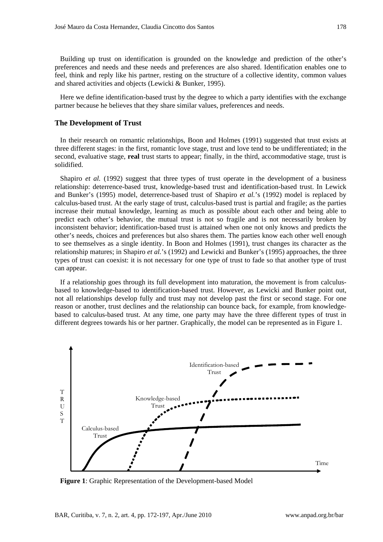Building up trust on identification is grounded on the knowledge and prediction of the other's preferences and needs and these needs and preferences are also shared. Identification enables one to feel, think and reply like his partner, resting on the structure of a collective identity, common values and shared activities and objects (Lewicki & Bunker, 1995).

Here we define identification-based trust by the degree to which a party identifies with the exchange partner because he believes that they share similar values, preferences and needs.

#### **The Development of Trust**

In their research on romantic relationships, Boon and Holmes (1991) suggested that trust exists at three different stages: in the first, romantic love stage, trust and love tend to be undifferentiated; in the second, evaluative stage, **real** trust starts to appear; finally, in the third, accommodative stage, trust is solidified.

Shapiro *et al.* (1992) suggest that three types of trust operate in the development of a business relationship: deterrence-based trust, knowledge-based trust and identification-based trust. In Lewick and Bunker's (1995) model, deterrence-based trust of Shapiro *et al.*'s (1992) model is replaced by calculus-based trust. At the early stage of trust, calculus-based trust is partial and fragile; as the parties increase their mutual knowledge, learning as much as possible about each other and being able to predict each other's behavior, the mutual trust is not so fragile and is not necessarily broken by inconsistent behavior; identification-based trust is attained when one not only knows and predicts the other's needs, choices and preferences but also shares them. The parties know each other well enough to see themselves as a single identity. In Boon and Holmes (1991), trust changes its character as the relationship matures; in Shapiro *et al.*'s (1992) and Lewicki and Bunker's (1995) approaches, the three types of trust can coexist: it is not necessary for one type of trust to fade so that another type of trust can appear.

If a relationship goes through its full development into maturation, the movement is from calculusbased to knowledge-based to identification-based trust. However, as Lewicki and Bunker point out, not all relationships develop fully and trust may not develop past the first or second stage. For one reason or another, trust declines and the relationship can bounce back, for example, from knowledgebased to calculus-based trust. At any time, one party may have the three different types of trust in different degrees towards his or her partner. Graphically, the model can be represented as in Figure 1.



**Figure 1**: Graphic Representation of the Development-based Model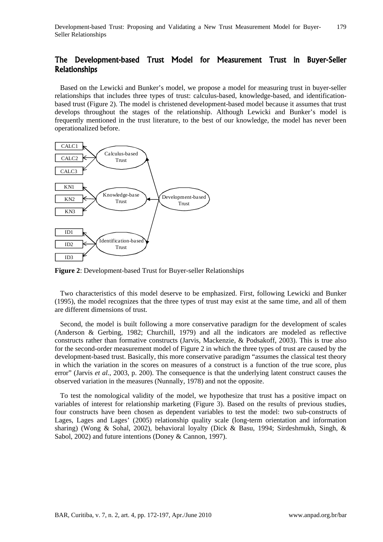## The Development-based Trust Model for Measurement Trust in Buyer-Seller Relationships

Based on the Lewicki and Bunker's model, we propose a model for measuring trust in buyer-seller relationships that includes three types of trust: calculus-based, knowledge-based, and identificationbased trust (Figure 2). The model is christened development-based model because it assumes that trust develops throughout the stages of the relationship. Although Lewicki and Bunker's model is frequently mentioned in the trust literature, to the best of our knowledge, the model has never been operationalized before.



**Figure 2**: Development-based Trust for Buyer-seller Relationships

Two characteristics of this model deserve to be emphasized. First, following Lewicki and Bunker (1995), the model recognizes that the three types of trust may exist at the same time, and all of them are different dimensions of trust.

Second, the model is built following a more conservative paradigm for the development of scales (Anderson & Gerbing, 1982; Churchill, 1979) and all the indicators are modeled as reflective constructs rather than formative constructs (Jarvis, Mackenzie, & Podsakoff, 2003). This is true also for the second-order measurement model of Figure 2 in which the three types of trust are caused by the development-based trust. Basically, this more conservative paradigm "assumes the classical test theory in which the variation in the scores on measures of a construct is a function of the true score, plus error" (Jarvis *et al.*, 2003, p. 200). The consequence is that the underlying latent construct causes the observed variation in the measures (Nunnally, 1978) and not the opposite.

To test the nomological validity of the model, we hypothesize that trust has a positive impact on variables of interest for relationship marketing (Figure 3). Based on the results of previous studies, four constructs have been chosen as dependent variables to test the model: two sub-constructs of Lages, Lages and Lages' (2005) relationship quality scale (long-term orientation and information sharing) (Wong & Sohal, 2002), behavioral loyalty (Dick & Basu, 1994; Sirdeshmukh, Singh, & Sabol, 2002) and future intentions (Doney & Cannon, 1997).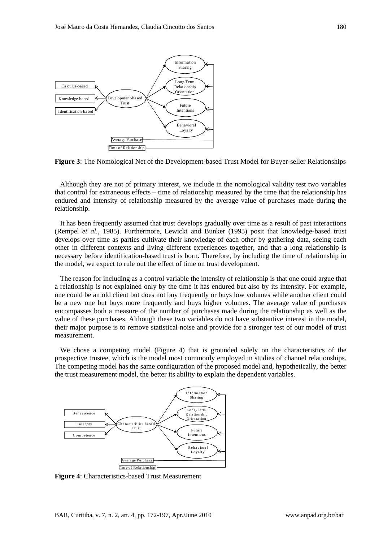

**Figure 3**: The Nomological Net of the Development-based Trust Model for Buyer-seller Relationships

Although they are not of primary interest, we include in the nomological validity test two variables that control for extraneous effects – time of relationship measured by the time that the relationship has endured and intensity of relationship measured by the average value of purchases made during the relationship.

It has been frequently assumed that trust develops gradually over time as a result of past interactions (Rempel *et al.*, 1985). Furthermore, Lewicki and Bunker (1995) posit that knowledge-based trust develops over time as parties cultivate their knowledge of each other by gathering data, seeing each other in different contexts and living different experiences together, and that a long relationship is necessary before identification-based trust is born. Therefore, by including the time of relationship in the model, we expect to rule out the effect of time on trust development.

The reason for including as a control variable the intensity of relationship is that one could argue that a relationship is not explained only by the time it has endured but also by its intensity. For example, one could be an old client but does not buy frequently or buys low volumes while another client could be a new one but buys more frequently and buys higher volumes. The average value of purchases encompasses both a measure of the number of purchases made during the relationship as well as the value of these purchases. Although these two variables do not have substantive interest in the model, their major purpose is to remove statistical noise and provide for a stronger test of our model of trust measurement.

We chose a competing model (Figure 4) that is grounded solely on the characteristics of the prospective trustee, which is the model most commonly employed in studies of channel relationships. The competing model has the same configuration of the proposed model and, hypothetically, the better the trust measurement model, the better its ability to explain the dependent variables.



**Figure 4**: Characteristics-based Trust Measurement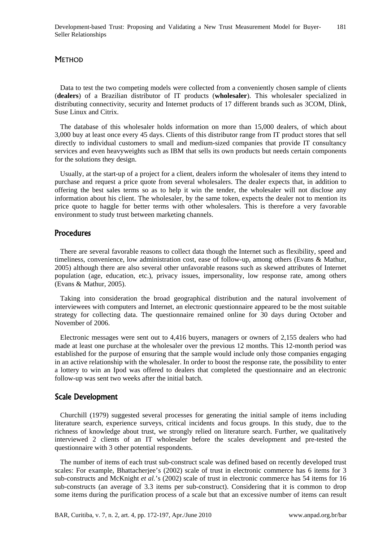#### **METHOD**

Data to test the two competing models were collected from a conveniently chosen sample of clients (**dealers**) of a Brazilian distributor of IT products (**wholesaler**). This wholesaler specialized in distributing connectivity, security and Internet products of 17 different brands such as 3COM, Dlink, Suse Linux and Citrix.

The database of this wholesaler holds information on more than 15,000 dealers, of which about 3,000 buy at least once every 45 days. Clients of this distributor range from IT product stores that sell directly to individual customers to small and medium-sized companies that provide IT consultancy services and even heavyweights such as IBM that sells its own products but needs certain components for the solutions they design.

Usually, at the start-up of a project for a client, dealers inform the wholesaler of items they intend to purchase and request a price quote from several wholesalers. The dealer expects that, in addition to offering the best sales terms so as to help it win the tender, the wholesaler will not disclose any information about his client. The wholesaler, by the same token, expects the dealer not to mention its price quote to haggle for better terms with other wholesalers. This is therefore a very favorable environment to study trust between marketing channels.

## **Procedures**

There are several favorable reasons to collect data though the Internet such as flexibility, speed and timeliness, convenience, low administration cost, ease of follow-up, among others (Evans & Mathur, 2005) although there are also several other unfavorable reasons such as skewed attributes of Internet population (age, education, etc.), privacy issues, impersonality, low response rate, among others (Evans & Mathur, 2005).

Taking into consideration the broad geographical distribution and the natural involvement of interviewees with computers and Internet, an electronic questionnaire appeared to be the most suitable strategy for collecting data. The questionnaire remained online for 30 days during October and November of 2006.

Electronic messages were sent out to 4,416 buyers, managers or owners of 2,155 dealers who had made at least one purchase at the wholesaler over the previous 12 months. This 12-month period was established for the purpose of ensuring that the sample would include only those companies engaging in an active relationship with the wholesaler. In order to boost the response rate, the possibility to enter a lottery to win an Ipod was offered to dealers that completed the questionnaire and an electronic follow-up was sent two weeks after the initial batch.

#### Scale Development

Churchill (1979) suggested several processes for generating the initial sample of items including literature search, experience surveys, critical incidents and focus groups. In this study, due to the richness of knowledge about trust, we strongly relied on literature search. Further, we qualitatively interviewed 2 clients of an IT wholesaler before the scales development and pre-tested the questionnaire with 3 other potential respondents.

The number of items of each trust sub-construct scale was defined based on recently developed trust scales: For example, Bhattacherjee's (2002) scale of trust in electronic commerce has 6 items for 3 sub-constructs and McKnight *et al.*'s (2002) scale of trust in electronic commerce has 54 items for 16 sub-constructs (an average of 3.3 items per sub-construct). Considering that it is common to drop some items during the purification process of a scale but that an excessive number of items can result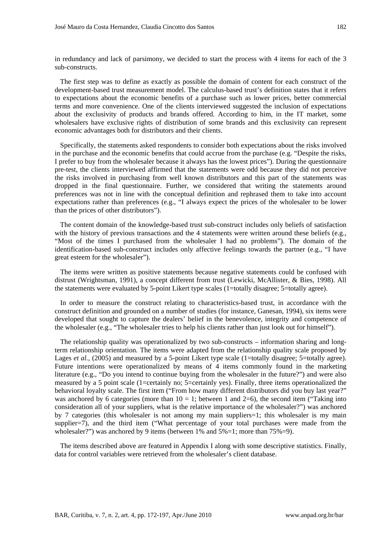in redundancy and lack of parsimony, we decided to start the process with 4 items for each of the 3 sub-constructs.

The first step was to define as exactly as possible the domain of content for each construct of the development-based trust measurement model. The calculus-based trust's definition states that it refers to expectations about the economic benefits of a purchase such as lower prices, better commercial terms and more convenience. One of the clients interviewed suggested the inclusion of expectations about the exclusivity of products and brands offered. According to him, in the IT market, some wholesalers have exclusive rights of distribution of some brands and this exclusivity can represent economic advantages both for distributors and their clients.

Specifically, the statements asked respondents to consider both expectations about the risks involved in the purchase and the economic benefits that could accrue from the purchase (e.g. "Despite the risks, I prefer to buy from the wholesaler because it always has the lowest prices"). During the questionnaire pre-test, the clients interviewed affirmed that the statements were odd because they did not perceive the risks involved in purchasing from well known distributors and this part of the statements was dropped in the final questionnaire. Further, we considered that writing the statements around preferences was not in line with the conceptual definition and rephrased them to take into account expectations rather than preferences (e.g., "I always expect the prices of the wholesaler to be lower than the prices of other distributors").

The content domain of the knowledge-based trust sub-construct includes only beliefs of satisfaction with the history of previous transactions and the 4 statements were written around these beliefs (e.g., "Most of the times I purchased from the wholesaler I had no problems"). The domain of the identification-based sub-construct includes only affective feelings towards the partner (e.g., "I have great esteem for the wholesaler").

The items were written as positive statements because negative statements could be confused with distrust (Wrightsman, 1991), a concept different from trust (Lewicki, McAllister, & Bies, 1998). All the statements were evaluated by 5-point Likert type scales (1=totally disagree; 5=totally agree).

In order to measure the construct relating to characteristics-based trust, in accordance with the construct definition and grounded on a number of studies (for instance, Ganesan, 1994), six items were developed that sought to capture the dealers' belief in the benevolence, integrity and competence of the wholesaler (e.g., "The wholesaler tries to help his clients rather than just look out for himself").

The relationship quality was operationalized by two sub-constructs – information sharing and longterm relationship orientation. The items were adapted from the relationship quality scale proposed by Lages *et al.*, (2005) and measured by a 5-point Likert type scale (1=totally disagree; 5=totally agree). Future intentions were operationalized by means of 4 items commonly found in the marketing literature (e.g., "Do you intend to continue buying from the wholesaler in the future?") and were also measured by a 5 point scale (1=certainly no; 5=certainly yes). Finally, three items operationalized the behavioral loyalty scale. The first item ("From how many different distributors did you buy last year?" was anchored by 6 categories (more than  $10 = 1$ ; between 1 and 2=6), the second item ("Taking into consideration all of your suppliers, what is the relative importance of the wholesaler?") was anchored by 7 categories (this wholesaler is not among my main suppliers=1; this wholesaler is my main supplier=7), and the third item ("What percentage of your total purchases were made from the wholesaler?") was anchored by 9 items (between 1% and 5%=1; more than 75%=9).

The items described above are featured in Appendix I along with some descriptive statistics. Finally, data for control variables were retrieved from the wholesaler's client database.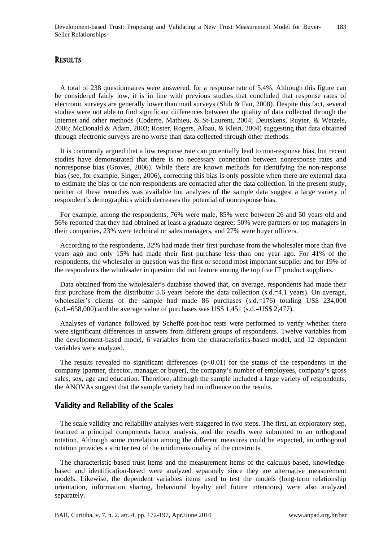## **RESULTS**

A total of 238 questionnaires were answered, for a response rate of 5.4%. Although this figure can be considered fairly low, it is in line with previous studies that concluded that response rates of electronic surveys are generally lower than mail surveys (Shih & Fan, 2008). Despite this fact, several studies were not able to find significant differences between the quality of data collected through the Internet and other methods (Coderre, Mathieu, & St-Laurent, 2004; Deutskens, Ruyter, & Wetzels, 2006; McDonald & Adam, 2003; Roster, Rogers, Albau, & Klein, 2004) suggesting that data obtained through electronic surveys are no worse than data collected through other methods.

It is commonly argued that a low response rate can potentially lead to non-response bias, but recent studies have demonstrated that there is no necessary connection between nonresponse rates and nonresponse bias (Groves, 2006). While there are known methods for identifying the non-response bias (see, for example, Singer, 2006), correcting this bias is only possible when there are external data to estimate the bias or the non-respondents are contacted after the data collection. In the present study, neither of these remedies was available but analyses of the sample data suggest a large variety of respondent's demographics which decreases the potential of nonresponse bias.

For example, among the respondents, 76% were male, 85% were between 26 and 50 years old and 56% reported that they had obtained at least a graduate degree; 50% were partners or top managers in their companies, 23% were technical or sales managers, and 27% were buyer officers.

According to the respondents, 32% had made their first purchase from the wholesaler more than five years ago and only 15% had made their first purchase less than one year ago. For 41% of the respondents, the wholesaler in question was the first or second most important supplier and for 19% of the respondents the wholesaler in question did not feature among the top five IT product suppliers.

Data obtained from the wholesaler's database showed that, on average, respondents had made their first purchase from the distributor 5.6 years before the data collection (s.d.=4.1 years). On average, wholesaler's clients of the sample had made 86 purchases (s.d.=176) totaling US\$ 234,000  $(s.d.=658,000)$  and the average value of purchases was US\$ 1,451  $(s.d.=US$ 2,477)$ .

Analyses of variance followed by Scheffé post-hoc tests were performed to verify whether there were significant differences in answers from different groups of respondents. Twelve variables from the development-based model, 6 variables from the characteristics-based model, and 12 dependent variables were analyzed.

The results revealed no significant differences  $(p<0.01)$  for the status of the respondents in the company (partner, director, manager or buyer), the company's number of employees, company's gross sales, sex, age and education. Therefore, although the sample included a large variety of respondents, the ANOVAs suggest that the sample variety had no influence on the results.

## Validity and Reliability of the Scales

The scale validity and reliability analyses were staggered in two steps. The first, an exploratory step, featured a principal components factor analysis, and the results were submitted to an orthogonal rotation. Although some correlation among the different measures could be expected, an orthogonal rotation provides a stricter test of the unidimensionality of the constructs.

The characteristic-based trust items and the measurement items of the calculus-based, knowledgebased and identification-based were analyzed separately since they are alternative measurement models. Likewise, the dependent variables items used to test the models (long-term relationship orientation, information sharing, behavioral loyalty and future intentions) were also analyzed separately.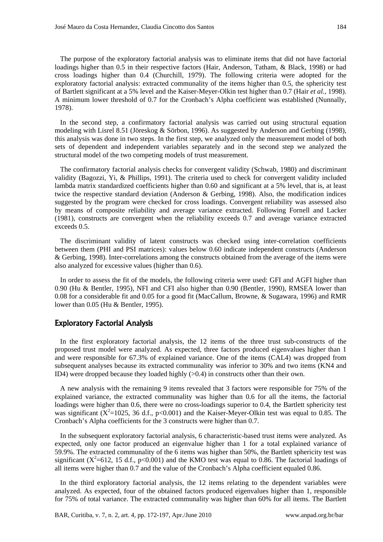The purpose of the exploratory factorial analysis was to eliminate items that did not have factorial loadings higher than 0.5 in their respective factors (Hair, Anderson, Tatham, & Black, 1998) or had cross loadings higher than 0.4 (Churchill, 1979). The following criteria were adopted for the exploratory factorial analysis: extracted communality of the items higher than 0.5, the sphericity test of Bartlett significant at a 5% level and the Kaiser-Meyer-Olkin test higher than 0.7 (Hair *et al.*, 1998). A minimum lower threshold of 0.7 for the Cronbach's Alpha coefficient was established (Nunnally, 1978).

In the second step, a confirmatory factorial analysis was carried out using structural equation modeling with Lisrel 8.51 (Jöreskog & Sörbon, 1996). As suggested by Anderson and Gerbing (1998), this analysis was done in two steps. In the first step, we analyzed only the measurement model of both sets of dependent and independent variables separately and in the second step we analyzed the structural model of the two competing models of trust measurement.

The confirmatory factorial analysis checks for convergent validity (Schwab, 1980) and discriminant validity (Bagozzi, Yi, & Phillips, 1991). The criteria used to check for convergent validity included lambda matrix standardized coefficients higher than 0.60 and significant at a 5% level, that is, at least twice the respective standard deviation (Anderson & Gerbing, 1998). Also, the modification indices suggested by the program were checked for cross loadings. Convergent reliability was assessed also by means of composite reliability and average variance extracted. Following Fornell and Lacker (1981), constructs are convergent when the reliability exceeds 0.7 and average variance extracted exceeds 0.5.

The discriminant validity of latent constructs was checked using inter-correlation coefficients between them (PHI and PSI matrices): values below 0.60 indicate independent constructs (Anderson & Gerbing, 1998). Inter-correlations among the constructs obtained from the average of the items were also analyzed for excessive values (higher than 0.6).

In order to assess the fit of the models, the following criteria were used: GFI and AGFI higher than 0.90 (Hu & Bentler, 1995), NFI and CFI also higher than 0.90 (Bentler, 1990), RMSEA lower than 0.08 for a considerable fit and 0.05 for a good fit (MacCallum, Browne, & Sugawara, 1996) and RMR lower than 0.05 (Hu & Bentler, 1995).

#### Exploratory Factorial Analysis

In the first exploratory factorial analysis, the 12 items of the three trust sub-constructs of the proposed trust model were analyzed. As expected, three factors produced eigenvalues higher than 1 and were responsible for 67.3% of explained variance. One of the items (CAL4) was dropped from subsequent analyses because its extracted communality was inferior to 30% and two items (KN4 and ID4) were dropped because they loaded highly (>0.4) in constructs other than their own.

A new analysis with the remaining 9 items revealed that 3 factors were responsible for 75% of the explained variance, the extracted communality was higher than 0.6 for all the items, the factorial loadings were higher than 0.6, there were no cross-loadings superior to 0.4, the Bartlett sphericity test was significant  $(X^2=1025, 36$  d.f., p<0.001) and the Kaiser-Meyer-Olkin test was equal to 0.85. The Cronbach's Alpha coefficients for the 3 constructs were higher than 0.7.

In the subsequent exploratory factorial analysis, 6 characteristic-based trust items were analyzed. As expected, only one factor produced an eigenvalue higher than 1 for a total explained variance of 59.9%. The extracted communality of the 6 items was higher than 50%, the Bartlett sphericity test was significant ( $X^2$ =612, 15 d.f., p<0.001) and the KMO test was equal to 0.86. The factorial loadings of all items were higher than 0.7 and the value of the Cronbach's Alpha coefficient equaled 0.86.

In the third exploratory factorial analysis, the 12 items relating to the dependent variables were analyzed. As expected, four of the obtained factors produced eigenvalues higher than 1, responsible for 75% of total variance. The extracted communality was higher than 60% for all items. The Bartlett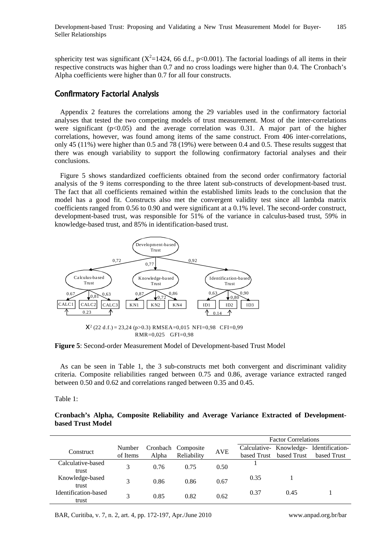sphericity test was significant ( $X^2$ =1424, 66 d.f., p<0.001). The factorial loadings of all items in their respective constructs was higher than 0.7 and no cross loadings were higher than 0.4. The Cronbach's Alpha coefficients were higher than 0.7 for all four constructs.

## Confirmatory Factorial Analysis

Appendix 2 features the correlations among the 29 variables used in the confirmatory factorial analyses that tested the two competing models of trust measurement. Most of the inter-correlations were significant  $(p<0.05)$  and the average correlation was 0.31. A major part of the higher correlations, however, was found among items of the same construct. From 406 inter-correlations, only 45 (11%) were higher than 0.5 and 78 (19%) were between 0.4 and 0.5. These results suggest that there was enough variability to support the following confirmatory factorial analyses and their conclusions.

Figure 5 shows standardized coefficients obtained from the second order confirmatory factorial analysis of the 9 items corresponding to the three latent sub-constructs of development-based trust. The fact that all coefficients remained within the established limits leads to the conclusion that the model has a good fit. Constructs also met the convergent validity test since all lambda matrix coefficients ranged from 0.56 to 0.90 and were significant at a 0.1% level. The second-order construct, development-based trust, was responsible for 51% of the variance in calculus-based trust, 59% in knowledge-based trust, and 85% in identification-based trust.



**Figure 5**: Second-order Measurement Model of Development-based Trust Model

As can be seen in Table 1, the 3 sub-constructs met both convergent and discriminant validity criteria. Composite reliabilities ranged between 0.75 and 0.86, average variance extracted ranged between 0.50 and 0.62 and correlations ranged between 0.35 and 0.45.

Table 1:

**Cronbach's Alpha, Composite Reliability and Average Variance Extracted of Developmentbased Trust Model** 

|                               |                    |       |                                   |            |      | <b>Factor Correlations</b> |                                                        |
|-------------------------------|--------------------|-------|-----------------------------------|------------|------|----------------------------|--------------------------------------------------------|
| Construct                     | Number<br>of Items | Alpha | Cronbach Composite<br>Reliability | <b>AVE</b> |      | based Trust based Trust    | Calculative- Knowledge- Identification-<br>based Trust |
| Calculative-based<br>trust    | 3                  | 0.76  | 0.75                              | 0.50       |      |                            |                                                        |
| Knowledge-based<br>trust      | 3                  | 0.86  | 0.86                              | 0.67       | 0.35 |                            |                                                        |
| Identification-based<br>trust | 3                  | 0.85  | 0.82                              | 0.62       | 0.37 | 0.45                       |                                                        |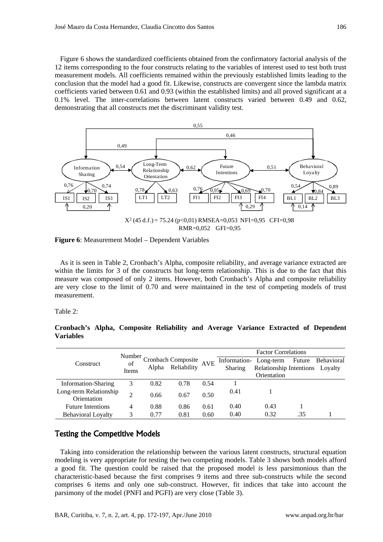Figure 6 shows the standardized coefficients obtained from the confirmatory factorial analysis of the 12 items corresponding to the four constructs relating to the variables of interest used to test both trust measurement models. All coefficients remained within the previously established limits leading to the conclusion that the model had a good fit. Likewise, constructs are convergent since the lambda matrix coefficients varied between 0.61 and 0.93 (within the established limits) and all proved significant at a 0.1% level. The inter-correlations between latent constructs varied between 0.49 and 0.62, demonstrating that all constructs met the discriminant validity test.



**Figure 6**: Measurement Model – Dependent Variables

As it is seen in Table 2, Cronbach's Alpha, composite reliability, and average variance extracted are within the limits for 3 of the constructs but long-term relationship. This is due to the fact that this measure was composed of only 2 items. However, both Cronbach's Alpha and composite reliability are very close to the limit of 0.70 and were maintained in the test of competing models of trust measurement.

Table 2:

|                                       | Number |      |                    |            | <b>Factor Correlations</b> |                         |        |                   |  |  |  |  |  |  |
|---------------------------------------|--------|------|--------------------|------------|----------------------------|-------------------------|--------|-------------------|--|--|--|--|--|--|
| Construct                             | of     |      | Cronbach Composite | <b>AVE</b> | Information-               | Long-term               | Future | <b>Behavioral</b> |  |  |  |  |  |  |
|                                       | Items  |      | Alpha Reliability  |            | <b>Sharing</b>             | Relationship Intentions |        | Loyalty           |  |  |  |  |  |  |
|                                       |        |      |                    |            |                            | Orientation             |        |                   |  |  |  |  |  |  |
| <b>Information-Sharing</b>            | 3      | 0.82 | 0.78               | 0.54       |                            |                         |        |                   |  |  |  |  |  |  |
| Long-term Relationship<br>Orientation | ◠      | 0.66 | 0.67               | 0.50       | 0.41                       |                         |        |                   |  |  |  |  |  |  |
| <b>Future Intentions</b>              | 4      | 0.88 | 0.86               | 0.61       | 0.40                       | 0.43                    |        |                   |  |  |  |  |  |  |
| <b>Behavioral Loyalty</b>             |        | 0.77 | 0.81               | 0.60       | 0.40                       | 0.32                    | .35    |                   |  |  |  |  |  |  |

**Cronbach's Alpha, Composite Reliability and Average Variance Extracted of Dependent Variables** 

#### Testing the Competitive Models

Taking into consideration the relationship between the various latent constructs, structural equation modeling is very appropriate for testing the two competing models. Table 3 shows both models afford a good fit. The question could be raised that the proposed model is less parsimonious than the characteristic-based because the first comprises 9 items and three sub-constructs while the second comprises 6 items and only one sub-construct. However, fit indices that take into account the parsimony of the model (PNFI and PGFI) are very close (Table 3).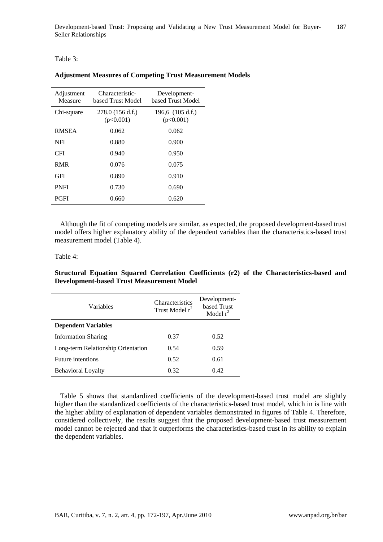Table 3:

| Adjustment<br>Measure | Characteristic-<br>based Trust Model | Development-<br>based Trust Model |
|-----------------------|--------------------------------------|-----------------------------------|
| Chi-square            | 278.0(156 d.f.)<br>(p<0.001)         | 196,6 (105 d.f.)<br>(p<0.001)     |
| <b>RMSEA</b>          | 0.062                                | 0.062                             |
| NFI                   | 0.880                                | 0.900                             |
| CFI                   | 0.940                                | 0.950                             |
| <b>RMR</b>            | 0.076                                | 0.075                             |
| GFI                   | 0.890                                | 0.910                             |
| <b>PNFI</b>           | 0.730                                | 0.690                             |
| PGFI                  | 0.660                                | 0.620                             |

#### **Adjustment Measures of Competing Trust Measurement Models**

Although the fit of competing models are similar, as expected, the proposed development-based trust model offers higher explanatory ability of the dependent variables than the characteristics-based trust measurement model (Table 4).

#### Table 4:

## **Structural Equation Squared Correlation Coefficients (r2) of the Characteristics-based and Development-based Trust Measurement Model**

| Variables                          | <b>Characteristics</b><br>Trust Model $r^2$ | Development-<br>based Trust<br>Model $r^2$ |  |  |  |  |  |
|------------------------------------|---------------------------------------------|--------------------------------------------|--|--|--|--|--|
| <b>Dependent Variables</b>         |                                             |                                            |  |  |  |  |  |
| <b>Information Sharing</b>         | 0.37                                        | 0.52                                       |  |  |  |  |  |
| Long-term Relationship Orientation | 0.54                                        | 0.59                                       |  |  |  |  |  |
| Future intentions                  | 0.52                                        | 0.61                                       |  |  |  |  |  |
| <b>Behavioral Loyalty</b>          | 0.32                                        | 0.42                                       |  |  |  |  |  |

Table 5 shows that standardized coefficients of the development-based trust model are slightly higher than the standardized coefficients of the characteristics-based trust model, which in is line with the higher ability of explanation of dependent variables demonstrated in figures of Table 4. Therefore, considered collectively, the results suggest that the proposed development-based trust measurement model cannot be rejected and that it outperforms the characteristics-based trust in its ability to explain the dependent variables.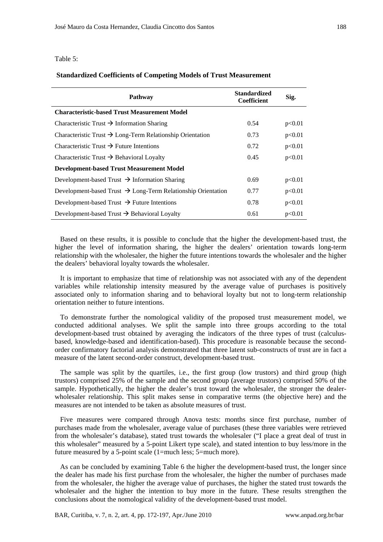#### Table 5:

#### **Standardized Coefficients of Competing Models of Trust Measurement**

| <b>Pathway</b>                                                           | <b>Standardized</b><br><b>Coefficient</b> | Sig.   |
|--------------------------------------------------------------------------|-------------------------------------------|--------|
| <b>Characteristic-based Trust Measurement Model</b>                      |                                           |        |
| Characteristic Trust $\rightarrow$ Information Sharing                   | 0.54                                      | p<0.01 |
| Characteristic Trust $\rightarrow$ Long-Term Relationship Orientation    | 0.73                                      | p<0.01 |
| Characteristic Trust $\rightarrow$ Future Intentions                     | 0.72                                      | p<0.01 |
| Characteristic Trust $\rightarrow$ Behavioral Loyalty                    | 0.45                                      | p<0.01 |
| <b>Development-based Trust Measurement Model</b>                         |                                           |        |
| Development-based Trust $\rightarrow$ Information Sharing                | 0.69                                      | p<0.01 |
| Development-based Trust $\rightarrow$ Long-Term Relationship Orientation | 0.77                                      | p<0.01 |
| Development-based Trust $\rightarrow$ Future Intentions                  | 0.78                                      | p<0.01 |
| Development-based Trust $\rightarrow$ Behavioral Loyalty                 | 0.61                                      | p<0.01 |

Based on these results, it is possible to conclude that the higher the development-based trust, the higher the level of information sharing, the higher the dealers' orientation towards long-term relationship with the wholesaler, the higher the future intentions towards the wholesaler and the higher the dealers' behavioral loyalty towards the wholesaler.

It is important to emphasize that time of relationship was not associated with any of the dependent variables while relationship intensity measured by the average value of purchases is positively associated only to information sharing and to behavioral loyalty but not to long-term relationship orientation neither to future intentions.

To demonstrate further the nomological validity of the proposed trust measurement model, we conducted additional analyses. We split the sample into three groups according to the total development-based trust obtained by averaging the indicators of the three types of trust (calculusbased, knowledge-based and identification-based). This procedure is reasonable because the secondorder confirmatory factorial analysis demonstrated that three latent sub-constructs of trust are in fact a measure of the latent second-order construct, development-based trust.

The sample was split by the quartiles, i.e., the first group (low trustors) and third group (high trustors) comprised 25% of the sample and the second group (average trustors) comprised 50% of the sample. Hypothetically, the higher the dealer's trust toward the wholesaler, the stronger the dealerwholesaler relationship. This split makes sense in comparative terms (the objective here) and the measures are not intended to be taken as absolute measures of trust.

Five measures were compared through Anova tests: months since first purchase, number of purchases made from the wholesaler, average value of purchases (these three variables were retrieved from the wholesaler's database), stated trust towards the wholesaler ("I place a great deal of trust in this wholesaler" measured by a 5-point Likert type scale), and stated intention to buy less/more in the future measured by a 5-point scale (1=much less; 5=much more).

As can be concluded by examining Table 6 the higher the development-based trust, the longer since the dealer has made his first purchase from the wholesaler, the higher the number of purchases made from the wholesaler, the higher the average value of purchases, the higher the stated trust towards the wholesaler and the higher the intention to buy more in the future. These results strengthen the conclusions about the nomological validity of the development-based trust model.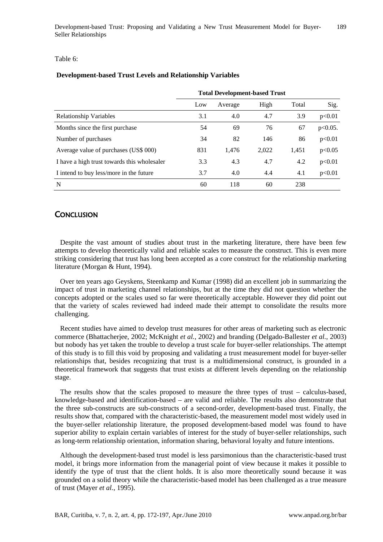#### Table 6:

#### **Development-based Trust Levels and Relationship Variables**

|                                             |     | <b>Total Development-based Trust</b> |       |       |            |
|---------------------------------------------|-----|--------------------------------------|-------|-------|------------|
|                                             | Low | Average                              | High  | Total | Sig.       |
| <b>Relationship Variables</b>               | 3.1 | 4.0                                  | 4.7   | 3.9   | p<0.01     |
| Months since the first purchase             | 54  | 69                                   | 76    | 67    | $p<0.05$ . |
| Number of purchases                         | 34  | 82                                   | 146   | 86    | p<0.01     |
| Average value of purchases (US\$ 000)       | 831 | 1,476                                | 2,022 | 1,451 | p<0.05     |
| I have a high trust towards this wholesaler | 3.3 | 4.3                                  | 4.7   | 4.2   | p<0.01     |
| I intend to buy less/more in the future     | 3.7 | 4.0                                  | 4.4   | 4.1   | p<0.01     |
| N                                           | 60  | 118                                  | 60    | 238   |            |

## **CONCLUSION**

Despite the vast amount of studies about trust in the marketing literature, there have been few attempts to develop theoretically valid and reliable scales to measure the construct. This is even more striking considering that trust has long been accepted as a core construct for the relationship marketing literature (Morgan & Hunt, 1994).

Over ten years ago Geyskens, Steenkamp and Kumar (1998) did an excellent job in summarizing the impact of trust in marketing channel relationships, but at the time they did not question whether the concepts adopted or the scales used so far were theoretically acceptable. However they did point out that the variety of scales reviewed had indeed made their attempt to consolidate the results more challenging.

Recent studies have aimed to develop trust measures for other areas of marketing such as electronic commerce (Bhattacherjee, 2002; McKnight *et al.*, 2002) and branding (Delgado-Ballester *et al.*, 2003) but nobody has yet taken the trouble to develop a trust scale for buyer-seller relationships. The attempt of this study is to fill this void by proposing and validating a trust measurement model for buyer-seller relationships that, besides recognizing that trust is a multidimensional construct, is grounded in a theoretical framework that suggests that trust exists at different levels depending on the relationship stage.

The results show that the scales proposed to measure the three types of trust – calculus-based, knowledge-based and identification-based – are valid and reliable. The results also demonstrate that the three sub-constructs are sub-constructs of a second-order, development-based trust. Finally, the results show that, compared with the characteristic-based, the measurement model most widely used in the buyer-seller relationship literature, the proposed development-based model was found to have superior ability to explain certain variables of interest for the study of buyer-seller relationships, such as long-term relationship orientation, information sharing, behavioral loyalty and future intentions.

Although the development-based trust model is less parsimonious than the characteristic-based trust model, it brings more information from the managerial point of view because it makes it possible to identify the type of trust that the client holds. It is also more theoretically sound because it was grounded on a solid theory while the characteristic-based model has been challenged as a true measure of trust (Mayer *et al.*, 1995).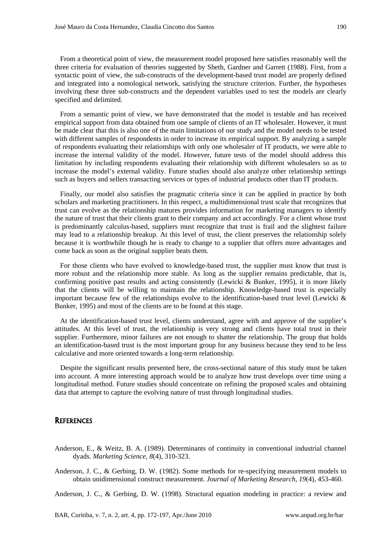From a theoretical point of view, the measurement model proposed here satisfies reasonably well the three criteria for evaluation of theories suggested by Sheth, Gardner and Garrett (1988). First, from a syntactic point of view, the sub-constructs of the development-based trust model are properly defined and integrated into a nomological network, satisfying the structure criterion. Further, the hypotheses involving these three sub-constructs and the dependent variables used to test the models are clearly specified and delimited.

From a semantic point of view, we have demonstrated that the model is testable and has received empirical support from data obtained from one sample of clients of an IT wholesaler. However, it must be made clear that this is also one of the main limitations of our study and the model needs to be tested with different samples of respondents in order to increase its empirical support. By analyzing a sample of respondents evaluating their relationships with only one wholesaler of IT products, we were able to increase the internal validity of the model. However, future tests of the model should address this limitation by including respondents evaluating their relationship with different wholesalers so as to increase the model's external validity. Future studies should also analyze other relationship settings such as buyers and sellers transacting services or types of industrial products other than IT products.

Finally, our model also satisfies the pragmatic criteria since it can be applied in practice by both scholars and marketing practitioners. In this respect, a multidimensional trust scale that recognizes that trust can evolve as the relationship matures provides information for marketing managers to identify the nature of trust that their clients grant to their company and act accordingly. For a client whose trust is predominantly calculus-based, suppliers must recognize that trust is frail and the slightest failure may lead to a relationship breakup. At this level of trust, the client preserves the relationship solely because it is worthwhile though he is ready to change to a supplier that offers more advantages and come back as soon as the original supplier beats them.

For those clients who have evolved to knowledge-based trust, the supplier must know that trust is more robust and the relationship more stable. As long as the supplier remains predictable, that is, confirming positive past results and acting consistently (Lewicki & Bunker, 1995), it is more likely that the clients will be willing to maintain the relationship. Knowledge-based trust is especially important because few of the relationships evolve to the identification-based trust level (Lewicki & Bunker, 1995) and most of the clients are to be found at this stage.

At the identification-based trust level, clients understand, agree with and approve of the supplier's attitudes. At this level of trust, the relationship is very strong and clients have total trust in their supplier. Furthermore, minor failures are not enough to shatter the relationship. The group that holds an identification-based trust is the most important group for any business because they tend to be less calculative and more oriented towards a long-term relationship.

Despite the significant results presented here, the cross-sectional nature of this study must be taken into account. A more interesting approach would be to analyze how trust develops over time using a longitudinal method. Future studies should concentrate on refining the proposed scales and obtaining data that attempt to capture the evolving nature of trust through longitudinal studies.

#### **REFERENCES**

- Anderson, E., & Weitz, B. A. (1989). Determinants of continuity in conventional industrial channel dyads. *Marketing Science, 8*(4), 310-323.
- Anderson, J. C., & Gerbing, D. W. (1982). Some methods for re-specifying measurement models to obtain unidimensional construct measurement. *Journal of Marketing Research, 19*(4), 453-460.

Anderson, J. C., & Gerbing, D. W. (1998). Structural equation modeling in practice: a review and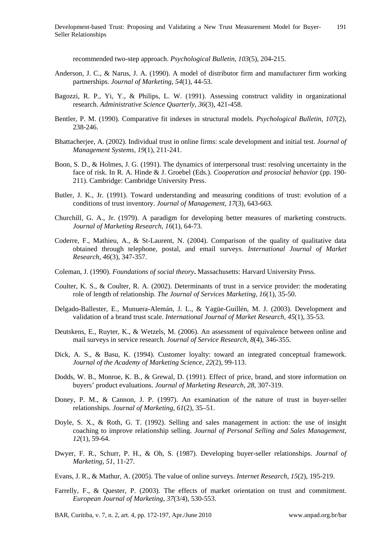recommended two-step approach. *Psychological Bulletin, 103*(5), 204-215.

- Anderson, J. C., & Narus, J. A. (1990). A model of distributor firm and manufacturer firm working partnerships. *Journal of Marketing, 54*(1), 44-53.
- Bagozzi, R. P., Yi, Y., & Philips, L. W. (1991). Assessing construct validity in organizational research. *Administrative Science Quarterly, 36*(3), 421-458.
- Bentler, P. M. (1990). Comparative fit indexes in structural models. *Psychological Bulletin*, *107*(2), 238-246.
- Bhattacherjee, A. (2002). Individual trust in online firms: scale development and initial test. *Journal of Management Systems, 19*(1), 211-241.
- Boon, S. D., & Holmes, J. G. (1991). The dynamics of interpersonal trust: resolving uncertainty in the face of risk. In R. A. Hinde & J. Groebel (Eds.). *Cooperation and prosocial behavior* (pp. 190- 211). Cambridge: Cambridge University Press.
- Butler, J. K., Jr. (1991). Toward understanding and measuring conditions of trust: evolution of a conditions of trust inventory. *Journal of Management, 17*(3), 643-663.
- Churchill, G. A., Jr. (1979). A paradigm for developing better measures of marketing constructs. *Journal of Marketing Research, 16*(1), 64-73.
- Coderre, F., Mathieu, A., & St-Laurent, N. (2004). Comparison of the quality of qualitative data obtained through telephone, postal, and email surveys. *International Journal of Market Research, 46*(3), 347-357.
- Coleman, J. (1990). *Foundations of social theory***.** Massachusetts: Harvard University Press.
- Coulter, K. S., & Coulter, R. A. (2002). Determinants of trust in a service provider: the moderating role of length of relationship. *The Journal of Services Marketing, 16*(1), 35-50.
- Delgado-Ballester, E., Munuera-Alemán, J. L., & Yagüe-Guillén, M. J. (2003). Development and validation of a brand trust scale. *International Journal of Market Research, 45*(1), 35-53.
- Deutskens, E., Ruyter, K., & Wetzels, M. (2006). An assessment of equivalence between online and mail surveys in service research. *Journal of Service Research, 8*(4), 346-355.
- Dick, A. S., & Basu, K. (1994). Customer loyalty: toward an integrated conceptual framework. *Journal of the Academy of Marketing Science, 22*(2), 99-113.
- Dodds, W. B., Monroe, K. B., & Grewal, D. (1991). Effect of price, brand, and store information on buyers' product evaluations. *Journal of Marketing Research, 28*, 307-319.
- Doney, P. M., & Cannon, J. P. (1997). An examination of the nature of trust in buyer-seller relationships. *Journal of Marketing, 61*(2), 35–51.
- Doyle, S. X., & Roth, G. T. (1992). Selling and sales management in action: the use of insight coaching to improve relationship selling. *Journal of Personal Selling and Sales Management*, *12*(1), 59-64.
- Dwyer, F. R., Schurr, P. H., & Oh, S. (1987). Developing buyer-seller relationships. *Journal of Marketing, 51*, 11-27.
- Evans, J. R., & Mathur, A. (2005). The value of online surveys. *Internet Research, 15*(2), 195-219.
- Farrelly, F., & Quester, P. (2003). The effects of market orientation on trust and commitment. *European Journal of Marketing, 37*(3/4), 530-553.
- BAR, Curitiba, v. 7, n. 2, art. 4, pp. 172-197, Apr./June 2010 www.anpad.org.br/bar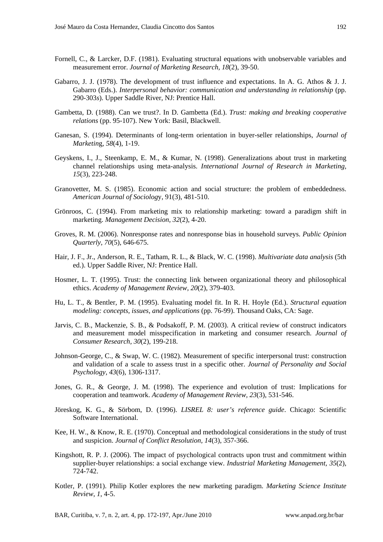- Fornell, C., & Larcker, D.F. (1981). Evaluating structural equations with unobservable variables and measurement error. *Journal of Marketing Research, 18*(2), 39-50.
- Gabarro, J. J. (1978). The development of trust influence and expectations. In A. G. Athos & J. J. Gabarro (Eds.). *Interpersonal behavior: communication and understanding in relationship* (pp. 290-303*s*). Upper Saddle River, NJ: Prentice Hall.
- Gambetta, D. (1988). Can we trust?. In D. Gambetta (Ed.). *Trust: making and breaking cooperative relations* (pp. 95-107). New York: Basil, Blackwell.
- Ganesan, S. (1994). Determinants of long-term orientation in buyer-seller relationships, *Journal of Marketin*g*, 58*(4), 1-19.
- Geyskens, I., J., Steenkamp, E. M., & Kumar, N. (1998). Generalizations about trust in marketing channel relationships using meta-analysis. *International Journal of Research in Marketing, 15*(3), 223-248.
- Granovetter, M. S. (1985). Economic action and social structure: the problem of embeddedness. *American Journal of Sociolog*y, 91(3), 481-510.
- Grönroos, C. (1994). From marketing mix to relationship marketing: toward a paradigm shift in marketing. *Management Decision, 32*(2), 4-20.
- Groves, R. M. (2006). Nonresponse rates and nonresponse bias in household surveys. *Public Opinion Quarterly, 70*(5), 646-675.
- Hair, J. F., Jr., Anderson, R. E., Tatham, R. L., & Black, W. C. (1998). *Multivariate data analysis* (5th ed.). Upper Saddle River, NJ: Prentice Hall.
- Hosmer, L. T. (1995). Trust: the connecting link between organizational theory and philosophical ethics. *Academy of Management Review, 20*(2), 379-403.
- Hu, L. T., & Bentler, P. M. (1995). Evaluating model fit. In R. H. Hoyle (Ed.). *Structural equation modeling: concepts, issues, and applications* (pp. 76-99). Thousand Oaks, CA: Sage.
- Jarvis, C. B., Mackenzie, S. B., & Podsakoff, P. M. (2003). A critical review of construct indicators and measurement model misspecification in marketing and consumer research. *Journal of Consumer Research, 30*(2), 199-218.
- Johnson-George, C., & Swap, W. C. (1982). Measurement of specific interpersonal trust: construction and validation of a scale to assess trust in a specific other. *Journal of Personality and Social Psychology, 43*(6), 1306-1317.
- Jones, G. R., & George, J. M. (1998). The experience and evolution of trust: Implications for cooperation and teamwork. *Academy of Management Review, 23*(3), 531-546.
- Jöreskog, K. G., & Sörbom, D. (1996). *LISREL 8: user's reference guide*. Chicago: Scientific Software International.
- Kee, H. W., & Know, R. E. (1970). Conceptual and methodological considerations in the study of trust and suspicion. *Journal of Conflict Resolution, 14*(3), 357-366.
- Kingshott, R. P. J. (2006). The impact of psychological contracts upon trust and commitment within supplier-buyer relationships: a social exchange view. *Industrial Marketing Management, 35*(2), 724-742.
- Kotler, P. (1991). Philip Kotler explores the new marketing paradigm. *Marketing Science Institute Review*, *1*, 4-5.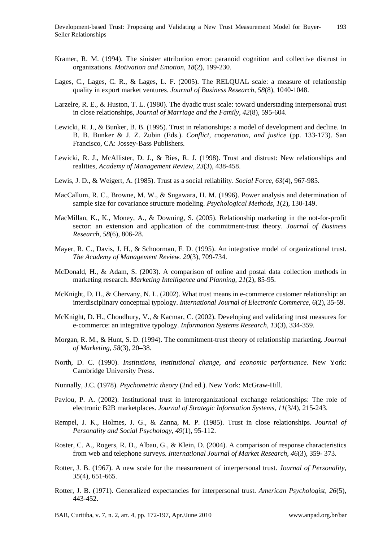- Kramer, R. M. (1994). The sinister attribution error: paranoid cognition and collective distrust in organizations. *Motivation and Emotion, 18*(2), 199-230.
- Lages, C., Lages, C. R., & Lages, L. F. (2005). The RELQUAL scale: a measure of relationship quality in export market ventures. *Journal of Business Research, 58*(8), 1040-1048.
- Larzelre, R. E., & Huston, T. L. (1980). The dyadic trust scale: toward understading interpersonal trust in close relationships, *Journal of Marriage and the Family, 42*(8), 595-604.
- Lewicki, R. J., & Bunker, B. B. (1995). Trust in relationships: a model of development and decline. In B. B. Bunker & J. Z. Zubin (Eds.). *Conflict, cooperation, and justice* (pp. 133-173). San Francisco, CA: Jossey-Bass Publishers.
- Lewicki, R. J., McAllister, D. J., & Bies, R. J. (1998). Trust and distrust: New relationships and realities, *Academy of Management Review, 23*(3), 438-458.
- Lewis, J. D., & Weigert, A. (1985). Trust as a social reliability. *Social Force, 63*(4), 967-985.
- MacCallum, R. C., Browne, M. W., & Sugawara, H. M. (1996). Power analysis and determination of sample size for covariance structure modeling. *Psychological Methods, 1*(2), 130-149.
- MacMillan, K., K., Money, A., & Downing, S. (2005). Relationship marketing in the not-for-profit sector: an extension and application of the commitment-trust theory. *Journal of Business Research, 58*(6), 806-28.
- Mayer, R. C., Davis, J. H., & Schoorman, F. D. (1995). An integrative model of organizational trust. *The Academy of Management Review. 20*(3), 709-734.
- McDonald, H., & Adam, S. (2003). A comparison of online and postal data collection methods in marketing research. *Marketing Intelligence and Planning, 21*(2), 85-95.
- McKnight, D. H., & Chervany, N. L. (2002). What trust means in e-commerce customer relationship: an interdisciplinary conceptual typology. *International Journal of Electronic Commerce, 6*(2), 35-59.
- McKnight, D. H., Choudhury, V., & Kacmar, C. (2002). Developing and validating trust measures for e-commerce: an integrative typology. *Information Systems Research, 13*(3), 334-359.
- Morgan, R. M., & Hunt, S. D. (1994). The commitment-trust theory of relationship marketing. *Journal of Marketing, 58*(3), 20–38.
- North, D. C. (1990). *Institutions, institutional change, and economic performance*. New York: Cambridge University Press.
- Nunnally, J.C. (1978). *Psychometric theory* (2nd ed.). New York: McGraw-Hill.
- Pavlou, P. A. (2002). Institutional trust in interorganizational exchange relationships: The role of electronic B2B marketplaces. *Journal of Strategic Information Systems, 11*(3/4), 215-243.
- Rempel, J. K., Holmes, J. G., & Zanna, M. P. (1985). Trust in close relationships. *Journal of Personality and Social Psychology, 49*(1), 95-112.
- Roster, C. A., Rogers, R. D., Albau, G., & Klein, D. (2004). A comparison of response characteristics from web and telephone surveys. *International Journal of Market Research, 46*(3), 359- 373.
- Rotter, J. B. (1967). A new scale for the measurement of interpersonal trust. *Journal of Personality, 35*(4), 651-665.
- Rotter, J. B. (1971). Generalized expectancies for interpersonal trust. *American Psychologist, 26*(5), 443-452.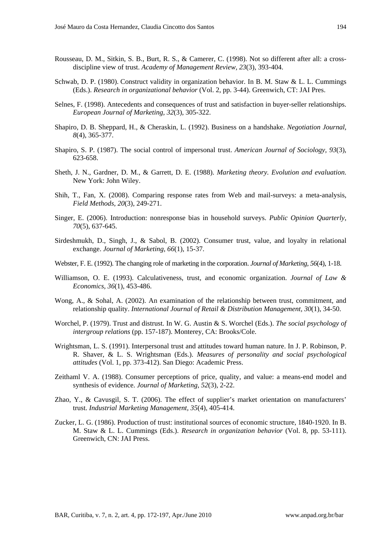- Rousseau, D. M., Sitkin, S. B., Burt, R. S., & Camerer, C. (1998). Not so different after all: a crossdiscipline view of trust. *Academy of Management Review, 23*(3), 393-404.
- Schwab, D. P. (1980). Construct validity in organization behavior. In B. M. Staw & L. L. Cummings (Eds.). *Research in organizational behavior* (Vol. 2, pp. 3-44). Greenwich, CT: JAI Pres.
- Selnes, F. (1998). Antecedents and consequences of trust and satisfaction in buyer-seller relationships. *European Journal of Marketing, 32*(3), 305-322.
- Shapiro, D. B. Sheppard, H., & Cheraskin, L. (1992). Business on a handshake. *Negotiation Journal, 8*(4), 365-377.
- Shapiro, S. P. (1987). The social control of impersonal trust. *American Journal of Sociology, 93*(3), 623-658.
- Sheth, J. N., Gardner, D. M., & Garrett, D. E. (1988). *Marketing theory. Evolution and evaluation*. New York: John Wiley.
- Shih, T., Fan, X. (2008). Comparing response rates from Web and mail-surveys: a meta-analysis, *Field Methods, 20*(3), 249-271.
- Singer, E. (2006). Introduction: nonresponse bias in household surveys. *Public Opinion Quarterly, 70*(5), 637-645.
- Sirdeshmukh, D., Singh, J., & Sabol, B. (2002). Consumer trust, value, and loyalty in relational exchange. *Journal of Marketing, 66*(1), 15-37.
- Webster, F. E. (1992). The changing role of marketing in the corporation. *Journal of Marketing, 56*(4), 1-18.
- Williamson, O. E. (1993). Calculativeness, trust, and economic organization. *Journal of Law & Economics, 36*(1), 453-486.
- Wong, A., & Sohal, A. (2002). An examination of the relationship between trust, commitment, and relationship quality. *International Journal of Retail & Distribution Management, 30*(1), 34-50.
- Worchel, P. (1979). Trust and distrust. In W. G. Austin & S. Worchel (Eds.). *The social psychology of intergroup relations* (pp. 157-187). Monterey, CA: Brooks/Cole.
- Wrightsman, L. S. (1991). Interpersonal trust and attitudes toward human nature. In J. P. Robinson, P. R. Shaver, & L. S. Wrightsman (Eds.). *Measures of personality and social psychological attitudes* (Vol. 1, pp. 373-412). San Diego: Academic Press.
- Zeithaml V. A. (1988). Consumer perceptions of price, quality, and value: a means-end model and synthesis of evidence. *Journal of Marketing, 52*(3), 2-22.
- Zhao, Y., & Cavusgil, S. T. (2006). The effect of supplier's market orientation on manufacturers' trust. *Industrial Marketing Management, 35*(4), 405-414.
- Zucker, L. G. (1986). Production of trust: institutional sources of economic structure, 1840-1920. In B. M. Staw & L. L. Cummings (Eds.). *Research in organization behavior* (Vol. 8, pp. 53-111). Greenwich, CN: JAI Press.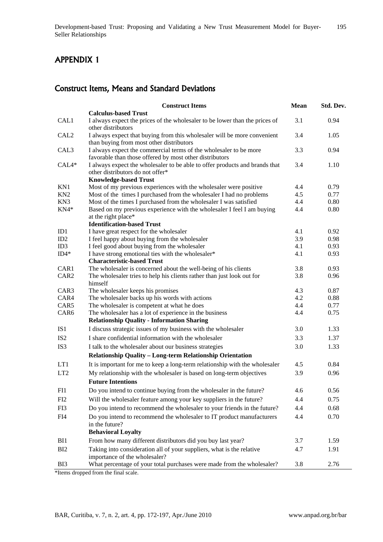## APPENDIX 1

## Construct Items, Means and Standard Deviations

|                  | <b>Construct Items</b>                                                                                                       | Mean | Std. Dev. |
|------------------|------------------------------------------------------------------------------------------------------------------------------|------|-----------|
|                  | <b>Calculus-based Trust</b>                                                                                                  |      |           |
| CAL1             | I always expect the prices of the wholesaler to be lower than the prices of<br>other distributors                            | 3.1  | 0.94      |
| CAL <sub>2</sub> | I always expect that buying from this wholesaler will be more convenient<br>than buying from most other distributors         | 3.4  | 1.05      |
| CAL3             | I always expect the commercial terms of the wholesaler to be more<br>favorable than those offered by most other distributors | 3.3  | 0.94      |
| CAL4*            | I always expect the wholesaler to be able to offer products and brands that<br>other distributors do not offer*              | 3.4  | 1.10      |
|                  | <b>Knowledge-based Trust</b>                                                                                                 |      |           |
| KN1              | Most of my previous experiences with the wholesaler were positive                                                            | 4.4  | 0.79      |
| K <sub>N</sub> 2 | Most of the times I purchased from the wholesaler I had no problems                                                          | 4.5  | 0.77      |
| KN3              | Most of the times I purchased from the wholesaler I was satisfied                                                            | 4.4  | 0.80      |
| KN4*             | Based on my previous experience with the wholesaler I feel I am buying                                                       | 4.4  | 0.80      |
|                  | at the right place*<br><b>Identification-based Trust</b>                                                                     |      |           |
| ID1              | I have great respect for the wholesaler                                                                                      | 4.1  | 0.92      |
| ID2              | I feel happy about buying from the wholesaler                                                                                | 3.9  | 0.98      |
| ID3              | I feel good about buying from the wholesaler                                                                                 | 4.1  | 0.93      |
| $ID4*$           | I have strong emotional ties with the wholesaler*                                                                            | 4.1  | 0.93      |
|                  | <b>Characteristic-based Trust</b>                                                                                            |      |           |
| CAR1             | The wholesaler is concerned about the well-being of his clients                                                              | 3.8  | 0.93      |
| CAR <sub>2</sub> | The wholesaler tries to help his clients rather than just look out for<br>himself                                            | 3.8  | 0.96      |
| CAR3             | The wholesaler keeps his promises                                                                                            | 4.3  | 0.87      |
| CAR4             | The wholesaler backs up his words with actions                                                                               | 4.2  | 0.88      |
| CAR5             | The wholesaler is competent at what he does                                                                                  | 4.4  | 0.77      |
| CAR6             | The wholesaler has a lot of experience in the business                                                                       | 4.4  | 0.75      |
|                  | <b>Relationship Quality - Information Sharing</b>                                                                            |      |           |
| IS <sub>1</sub>  | I discuss strategic issues of my business with the wholesaler                                                                | 3.0  | 1.33      |
| IS <sub>2</sub>  | I share confidential information with the wholesaler                                                                         | 3.3  | 1.37      |
| IS3              | I talk to the wholesaler about our business strategies                                                                       | 3.0  | 1.33      |
|                  | Relationship Quality - Long-term Relationship Orientation                                                                    |      |           |
| LT1              | It is important for me to keep a long-term relationship with the wholesaler                                                  | 4.5  | 0.84      |
| LT <sub>2</sub>  | My relationship with the wholesaler is based on long-term objectives                                                         | 3.9  | 0.96      |
|                  | <b>Future Intentions</b>                                                                                                     |      |           |
| FI1              | Do you intend to continue buying from the wholesaler in the future?                                                          | 4.6  | 0.56      |
| FI <sub>2</sub>  | Will the wholesaler feature among your key suppliers in the future?                                                          | 4.4  | 0.75      |
| FI3              | Do you intend to recommend the wholesaler to your friends in the future?                                                     | 4.4  | 0.68      |
| FI4              | Do you intend to recommend the wholesaler to IT product manufacturers<br>in the future?<br><b>Behavioral Loyalty</b>         | 4.4  | 0.70      |
| B <sub>1</sub>   | From how many different distributors did you buy last year?                                                                  | 3.7  | 1.59      |
| BI <sub>2</sub>  | Taking into consideration all of your suppliers, what is the relative                                                        | 4.7  | 1.91      |
|                  | importance of the wholesaler?                                                                                                |      |           |
| BI3              | What percentage of your total purchases were made from the wholesaler?                                                       | 3.8  | 2.76      |

\*Items dropped from the final scale.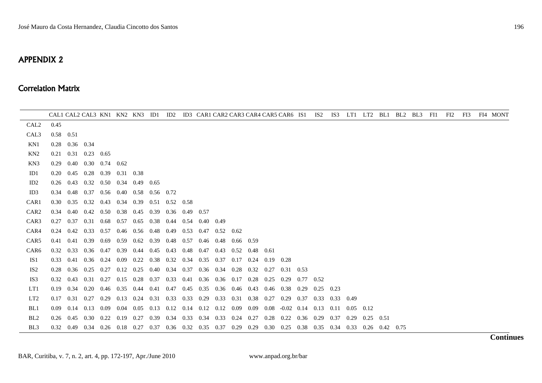## APPENDIX 2

#### Correlation Matrix

|                  |      | CAL1 CAL2 CAL3 KN1 KN2 KN3 ID1 |                  |             |      |                          |                     | ID2  |      | ID3 CAR1 CAR2 CAR3 CAR4 CAR5 CAR6 IS1 |           |             |      |      |              |      | IS <sub>2</sub> | IS3  | LT1         | LT2  | BL1  | BL2               | BL <sub>3</sub> | FI1 | FI2 | FI3 | FI4 MONT |
|------------------|------|--------------------------------|------------------|-------------|------|--------------------------|---------------------|------|------|---------------------------------------|-----------|-------------|------|------|--------------|------|-----------------|------|-------------|------|------|-------------------|-----------------|-----|-----|-----|----------|
| CAL <sub>2</sub> | 0.45 |                                |                  |             |      |                          |                     |      |      |                                       |           |             |      |      |              |      |                 |      |             |      |      |                   |                 |     |     |     |          |
| CAL <sub>3</sub> | 0.58 | 0.51                           |                  |             |      |                          |                     |      |      |                                       |           |             |      |      |              |      |                 |      |             |      |      |                   |                 |     |     |     |          |
| KN1              |      | 0.28 0.36 0.34                 |                  |             |      |                          |                     |      |      |                                       |           |             |      |      |              |      |                 |      |             |      |      |                   |                 |     |     |     |          |
| KN <sub>2</sub>  |      | $0.21$ $0.31$ $0.23$           |                  | 0.65        |      |                          |                     |      |      |                                       |           |             |      |      |              |      |                 |      |             |      |      |                   |                 |     |     |     |          |
| KN3              | 0.29 |                                | $0.40\quad 0.30$ | $0.74$ 0.62 |      |                          |                     |      |      |                                       |           |             |      |      |              |      |                 |      |             |      |      |                   |                 |     |     |     |          |
| ID1              | 0.20 | 0.45                           | 0.28             | 0.39        | 0.31 | 0.38                     |                     |      |      |                                       |           |             |      |      |              |      |                 |      |             |      |      |                   |                 |     |     |     |          |
| ID2              | 0.26 | 0.43                           | 0.32             | 0.50        | 0.34 | 0.49                     | 0.65                |      |      |                                       |           |             |      |      |              |      |                 |      |             |      |      |                   |                 |     |     |     |          |
| ID3              | 0.34 | 0.48                           | 0.37             |             |      | 0.56 0.40 0.58 0.56 0.72 |                     |      |      |                                       |           |             |      |      |              |      |                 |      |             |      |      |                   |                 |     |     |     |          |
| CAR1             | 0.30 | 0.35                           | 0.32             | 0.43        | 0.34 | 0.39 0.51 0.52 0.58      |                     |      |      |                                       |           |             |      |      |              |      |                 |      |             |      |      |                   |                 |     |     |     |          |
| CAR <sub>2</sub> | 0.34 | 0.40                           | 0.42             | 0.50        | 0.38 | 0.45 0.39 0.36           |                     |      | 0.49 | 0.57                                  |           |             |      |      |              |      |                 |      |             |      |      |                   |                 |     |     |     |          |
| CAR3             | 0.27 | 0.37                           | 0.31             | 0.68        | 0.57 | 0.65                     | 0.38                | 0.44 | 0.54 | 0.40                                  | 0.49      |             |      |      |              |      |                 |      |             |      |      |                   |                 |     |     |     |          |
| CAR4             | 0.24 | 0.42                           | 0.33             | 0.57        | 0.46 | 0.56                     | 0.48                | 0.49 | 0.53 | 0.47                                  | 0.52      | 0.62        |      |      |              |      |                 |      |             |      |      |                   |                 |     |     |     |          |
| CAR <sub>5</sub> | 0.41 | 0.41 0.39                      |                  | 0.69        | 0.59 | 0.62                     | 0.39                | 0.48 | 0.57 | $0.46$ 0.48                           |           | $0.66$ 0.59 |      |      |              |      |                 |      |             |      |      |                   |                 |     |     |     |          |
| CAR <sub>6</sub> |      | $0.32 \quad 0.33$              | 0.36             | 0.47        | 0.39 | 0.44                     | 0.45                | 0.43 | 0.48 | 0.47                                  | 0.43      | 0.52        | 0.48 | 0.61 |              |      |                 |      |             |      |      |                   |                 |     |     |     |          |
| IS1              | 0.33 | 0.41                           | 0.36             | 0.24        | 0.09 | 0.22                     | 0.38 0.32           |      | 0.34 | 0.35 0.37                             |           | 0.17        | 0.24 | 0.19 | 0.28         |      |                 |      |             |      |      |                   |                 |     |     |     |          |
| IS <sub>2</sub>  | 0.28 | 0.36                           | 0.25             | 0.27        | 0.12 | 0.25                     | 0.40                | 0.34 | 0.37 | 0.36                                  | 0.34      | 0.28        | 0.32 | 0.27 | 0.31         | 0.53 |                 |      |             |      |      |                   |                 |     |     |     |          |
| IS3              | 0.32 | 0.43                           | 0.31             | 0.27        | 0.15 | 0.28                     | 0.37                | 0.33 | 0.41 | 0.36                                  | 0.36 0.17 |             | 0.28 | 0.25 | 0.29         | 0.77 | 0.52            |      |             |      |      |                   |                 |     |     |     |          |
| LT1              | 0.19 | 0.34                           | 0.20             | 0.46        | 0.35 | 0.44                     | 0.41                | 0.47 | 0.45 | $0.35$ $0.36$ $0.46$ $0.43$           |           |             |      | 0.46 | 0.38         | 0.29 | 0.25            | 0.23 |             |      |      |                   |                 |     |     |     |          |
| LT <sub>2</sub>  | 0.17 | 0.31                           | 0.27             | 0.29        | 0.13 | 0.24                     | 0.31 0.33 0.33 0.29 |      |      |                                       | 0.33      | 0.31        | 0.38 | 0.27 | 0.29         | 0.37 | 0.33            |      | $0.33$ 0.49 |      |      |                   |                 |     |     |     |          |
| BL1              | 0.09 | 0.14                           | 0.13             | 0.09        | 0.04 | 0.05                     | 0.13                | 0.12 |      | $0.14$ $0.12$ $0.12$ $0.09$           |           |             | 0.09 | 0.08 | $-0.02$ 0.14 |      | 0.13            | 0.11 | 0.05        | 0.12 |      |                   |                 |     |     |     |          |
| BL2              | 0.26 | 0.45                           | 0.30             | 0.22        | 0.19 | 0.27                     | 0.39                | 0.34 | 0.33 | 0.34                                  | 0.33      | 0.24        | 0.27 | 0.28 | 0.22         | 0.36 | 0.29            | 0.37 | 0.29        | 0.25 | 0.51 |                   |                 |     |     |     |          |
| BL <sub>3</sub>  |      | $0.32 \quad 0.49$              | 0.34             | 0.26        |      | $0.18$ 0.27              | 0.37                |      |      | 0.36 0.32 0.35 0.37                   |           | 0.29        | 0.29 | 0.30 | 0.25         | 0.38 | $0.35$ 0.34     |      | 0.33        | 0.26 |      | $0.42 \quad 0.75$ |                 |     |     |     |          |

**Continues**